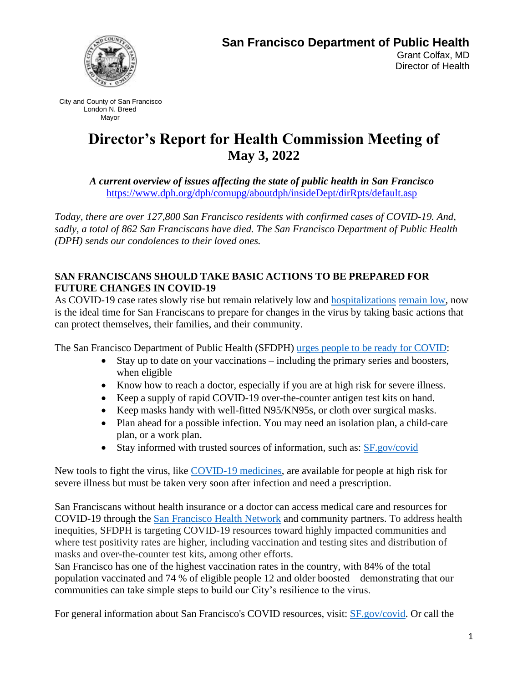

City and County of San Francisco London N. Breed Mayor

# **Director's Report for Health Commission Meeting of May 3, 2022**

*A current overview of issues affecting the state of public health in San Francisco* [https://www.dph.org/dph/comupg/aboutdph/insideDept/dirRpts/default.asp](https://www.sfdph.org/dph/comupg/aboutdph/insideDept/dirRpts/default.asp)

*Today, there are over 127,800 San Francisco residents with confirmed cases of COVID-19. And, sadly, a total of 862 San Franciscans have died. The San Francisco Department of Public Health (DPH) sends our condolences to their loved ones.*

## **SAN FRANCISCANS SHOULD TAKE BASIC ACTIONS TO BE PREPARED FOR FUTURE CHANGES IN COVID-19**

As COVID-19 case rates slowly rise but remain relatively low and [hospitalizations](https://sf.gov/data/covid-19-hospitalizations) [remain low,](https://sf.gov/data/covid-19-hospitalizations) now is the ideal time for San Franciscans to prepare for changes in the virus by taking basic actions that can protect themselves, their families, and their community.

The San Francisco Department of Public Health (SFDPH) urges people to be [ready for](https://sf.gov/be-covid-ready) COVID:

- Stay up to date on your vaccinations including the primary series and boosters, when eligible
- Know how to reach a doctor, especially if you are at high risk for severe illness.
- Keep a supply of rapid COVID-19 over-the-counter antigen test kits on hand.
- Keep masks handy with well-fitted N95/KN95s, or cloth over surgical masks.
- Plan ahead for a possible infection. You may need an isolation plan, a child-care plan, or a work plan.
- Stay informed with trusted sources of information, such as: [SF.gov/covid](https://sf.gov/topics/coronavirus-covid-19)

New tools to fight the virus, like [COVID-19](https://sf.gov/news/san-franciscans-who-test-positive-covid-19-and-are-high-risk-severe-illness-are-eligible-covid) medicines, are available for people at high risk for severe illness but must be taken very soon after infection and need a prescription.

San Franciscans without health insurance or a doctor can access medical care and resources for COVID-19 through the [San Francisco Health Network](https://sfhealthnetwork.org/) and community partners. To address health inequities, SFDPH is targeting COVID-19 resources toward highly impacted communities and where test positivity rates are higher, including vaccination and testing sites and distribution of masks and over-the-counter test kits, among other efforts.

San Francisco has one of the highest vaccination rates in the country, with 84% of the total population vaccinated and 74 % of eligible people 12 and older boosted – demonstrating that our communities can take simple steps to build our City's resilience to the virus.

For general information about San Francisco's COVID resources, visit: [SF.gov/covid.](https://sf.gov/topics/coronavirus-covid-19) Or call the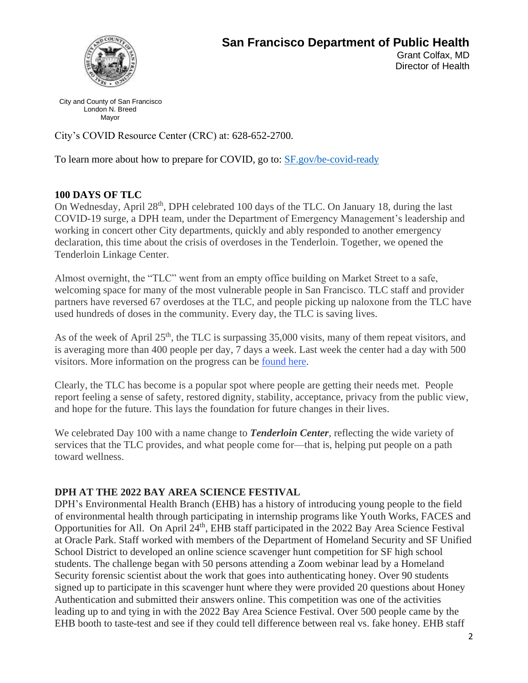

City and County of San Francisco London N. Breed Mayor

City's COVID Resource Center (CRC) at: 628-652-2700.

To learn more about how to prepare for COVID, go to: **SF**.gov/be-covid-ready

### **100 DAYS OF TLC**

On Wednesday, April 28<sup>th</sup>, DPH celebrated 100 days of the TLC. On January 18, during the last COVID-19 surge, a DPH team, under the Department of Emergency Management's leadership and working in concert other City departments, quickly and ably responded to another emergency declaration, this time about the crisis of overdoses in the Tenderloin. Together, we opened the Tenderloin Linkage Center.

Almost overnight, the "TLC" went from an empty office building on Market Street to a safe, welcoming space for many of the most vulnerable people in San Francisco. TLC staff and provider partners have reversed 67 overdoses at the TLC, and people picking up naloxone from the TLC have used hundreds of doses in the community. Every day, the TLC is saving lives.

As of the week of April  $25<sup>th</sup>$ , the TLC is surpassing 35,000 visits, many of them repeat visitors, and is averaging more than 400 people per day, 7 days a week. Last week the center had a day with 500 visitors. More information on the progress can be [found here.](https://t.e2ma.net/click/g75xkd/4l1ue9h/s00ail)

Clearly, the TLC has become is a popular spot where people are getting their needs met. People report feeling a sense of safety, restored dignity, stability, acceptance, privacy from the public view, and hope for the future. This lays the foundation for future changes in their lives.

We celebrated Day 100 with a name change to *Tenderloin Center*, reflecting the wide variety of services that the TLC provides, and what people come for—that is, helping put people on a path toward wellness.

#### **DPH AT THE 2022 BAY AREA SCIENCE FESTIVAL**

DPH's Environmental Health Branch (EHB) has a history of introducing young people to the field of environmental health through participating in internship programs like Youth Works, FACES and Opportunities for All. On April 24<sup>th</sup>, EHB staff participated in the 2022 Bay Area Science Festival at Oracle Park. Staff worked with members of the Department of Homeland Security and SF Unified School District to developed an online science scavenger hunt competition for SF high school students. The challenge began with 50 persons attending a Zoom webinar lead by a Homeland Security forensic scientist about the work that goes into authenticating honey. Over 90 students signed up to participate in this scavenger hunt where they were provided 20 questions about Honey Authentication and submitted their answers online. This competition was one of the activities leading up to and tying in with the 2022 Bay Area Science Festival. Over 500 people came by the EHB booth to taste-test and see if they could tell difference between real vs. fake honey. EHB staff